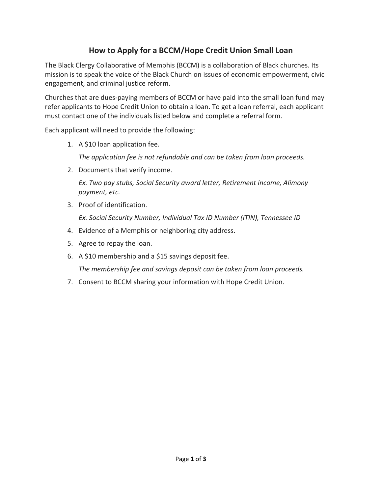## **How to Apply for a BCCM/Hope Credit Union Small Loan**

The Black Clergy Collaborative of Memphis (BCCM) is a collaboration of Black churches. Its mission is to speak the voice of the Black Church on issues of economic empowerment, civic engagement, and criminal justice reform.

Churches that are dues-paying members of BCCM or have paid into the small loan fund may refer applicants to Hope Credit Union to obtain a loan. To get a loan referral, each applicant must contact one of the individuals listed below and complete a referral form.

Each applicant will need to provide the following:

1. A \$10 loan application fee.

*The application fee is not refundable and can be taken from loan proceeds.*

2. Documents that verify income.

*Ex. Two pay stubs, Social Security award letter, Retirement income, Alimony payment, etc.*

3. Proof of identification.

*Ex. Social Security Number, Individual Tax ID Number (ITIN), Tennessee ID*

- 4. Evidence of a Memphis or neighboring city address.
- 5. Agree to repay the loan.
- 6. A \$10 membership and a \$15 savings deposit fee.

*The membership fee and savings deposit can be taken from loan proceeds.*

7. Consent to BCCM sharing your information with Hope Credit Union.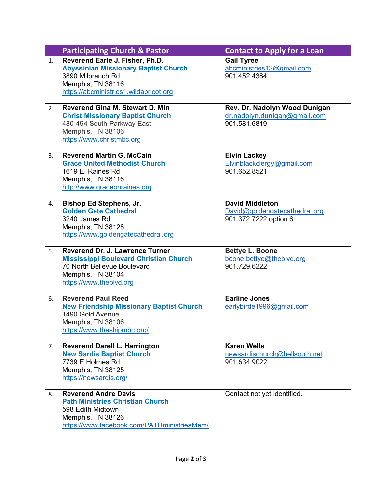|    | <b>Participating Church &amp; Pastor</b>                                                                                                                           | <b>Contact to Apply for a Loan</b>                                               |
|----|--------------------------------------------------------------------------------------------------------------------------------------------------------------------|----------------------------------------------------------------------------------|
| 1. | Reverend Earle J. Fisher, Ph.D.<br><b>Abyssinian Missionary Baptist Church</b><br>3890 Milbranch Rd<br>Memphis, TN 38116<br>https://abcministries1.wildapricot.org | <b>Gail Tyree</b><br>abcministries12@gmail.com<br>901.452.4384                   |
| 2. | <b>Reverend Gina M. Stewart D. Min</b><br><b>Christ Missionary Baptist Church</b><br>480-494 South Parkway East<br>Memphis, TN 38106<br>https://www.christmbc.org  | Rev. Dr. Nadolyn Wood Dunigan<br>dr.nadolyn.dunigan@gmail.com<br>901.581.6819    |
| 3. | <b>Reverend Martin G. McCain</b><br><b>Grace United Methodist Church</b><br>1619 E. Raines Rd<br>Memphis, TN 38116<br>http://www.graceonraines.org                 | <b>Elvin Lackey</b><br>Elvinblackclergy@gmail.com<br>901.652.8521                |
| 4. | <b>Bishop Ed Stephens, Jr.</b><br><b>Golden Gate Cathedral</b><br>3240 James Rd<br>Memphis, TN 38128<br>https://www.goldengatecathedral.org                        | <b>David Middleton</b><br>David@goldengatecathedral.org<br>901.372.7222 option 6 |
| 5. | Reverend Dr. J. Lawrence Turner<br><b>Mississippi Boulevard Christian Church</b><br>70 North Bellevue Boulevard<br>Memphis, TN 38104<br>https://www.theblvd.org    | <b>Bettye L. Boone</b><br>boone.bettye@theblvd.org<br>901.729.6222               |
| 6. | <b>Reverend Paul Reed</b><br><b>New Friendship Missionary Baptist Church</b><br>1490 Gold Avenue<br>Memphis, TN 38106<br>https://www.theshipmbc.org/               | <b>Earline Jones</b><br>earlybirde1996@gmail.com                                 |
| 7. | <b>Reverend Darell L. Harrington</b><br><b>New Sardis Baptist Church</b><br>7739 E Holmes Rd<br>Memphis, TN 38125<br>https://newsardis.org/                        | <b>Karen Wells</b><br>newsardischurch@bellsouth.net<br>901.634.9022              |
| 8. | <b>Reverend Andre Davis</b><br><b>Path Ministries Christian Church</b><br>598 Edith Midtown<br>Memphis, TN 38126<br>https://www.facebook.com/PATHministriesMem/    | Contact not yet identified.                                                      |